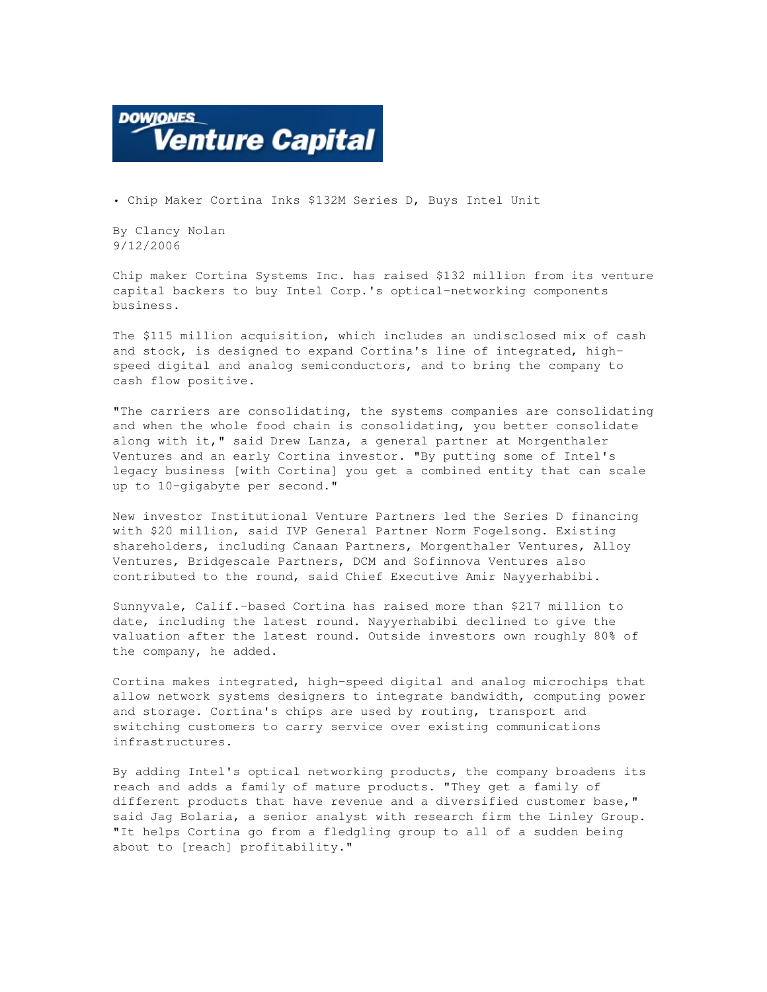

• Chip Maker Cortina Inks \$132M Series D, Buys Intel Unit

By Clancy Nolan 9/12/2006

Chip maker Cortina Systems Inc. has raised \$132 million from its venture capital backers to buy Intel Corp.'s optical-networking components business.

The \$115 million acquisition, which includes an undisclosed mix of cash and stock, is designed to expand Cortina's line of integrated, highspeed digital and analog semiconductors, and to bring the company to cash flow positive.

"The carriers are consolidating, the systems companies are consolidating and when the whole food chain is consolidating, you better consolidate along with it," said Drew Lanza, a general partner at Morgenthaler Ventures and an early Cortina investor. "By putting some of Intel's legacy business [with Cortina] you get a combined entity that can scale up to 10-gigabyte per second."

New investor Institutional Venture Partners led the Series D financing with \$20 million, said IVP General Partner Norm Fogelsong. Existing shareholders, including Canaan Partners, Morgenthaler Ventures, Alloy Ventures, Bridgescale Partners, DCM and Sofinnova Ventures also contributed to the round, said Chief Executive Amir Nayyerhabibi.

Sunnyvale, Calif.-based Cortina has raised more than \$217 million to date, including the latest round. Nayyerhabibi declined to give the valuation after the latest round. Outside investors own roughly 80% of the company, he added.

Cortina makes integrated, high-speed digital and analog microchips that allow network systems designers to integrate bandwidth, computing power and storage. Cortina's chips are used by routing, transport and switching customers to carry service over existing communications infrastructures.

By adding Intel's optical networking products, the company broadens its reach and adds a family of mature products. "They get a family of different products that have revenue and a diversified customer base," said Jag Bolaria, a senior analyst with research firm the Linley Group. "It helps Cortina go from a fledgling group to all of a sudden being about to [reach] profitability."